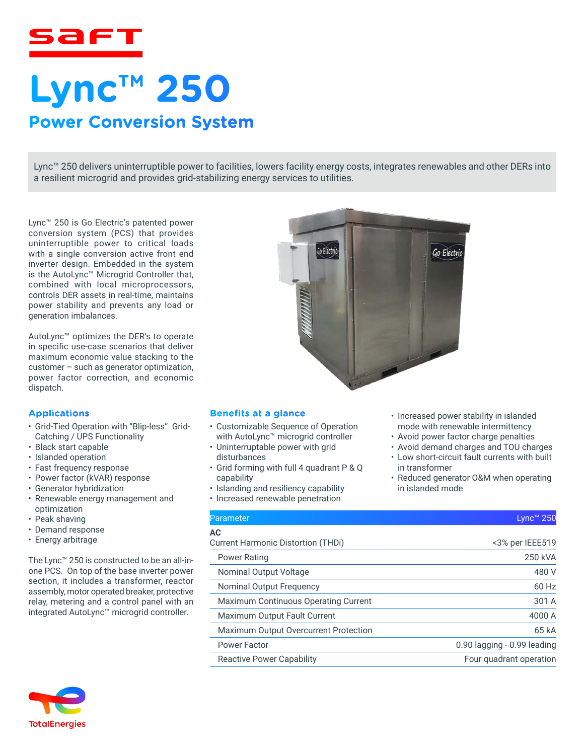

# **Lync™ 250 Power Conversion System**

Lync™ 250 delivers uninterruptible power to facilities, lowers facility energy costs, integrates renewables and other DERs into a resilient microgrid and provides grid-stabilizing energy services to utilities.

Lync™ 250 is Go Electric's patented power conversion system (PCS) that provides uninterruptible power to critical loads with a single conversion active front end inverter design. Embedded in the system is the AutoLync™ Microgrid Controller that, combined with local microprocessors, controls DER assets in real-time, maintains power stability and prevents any load or generation imbalances.

AutoLync™ optimizes the DER's to operate in specific use-case scenarios that deliver maximum economic value stacking to the customer – such as generator optimization, power factor correction, and economic dispatch.

#### **Applications**

- Grid-Tied Operation with "Blip-less" Grid-Catching / UPS Functionality
- Black start capable
- Islanded operation
- Fast frequency response
- Power factor (kVAR) response
- Generator hybridization
- Renewable energy management and optimization
- Peak shaving
- Demand response
- Energy arbitrage

The Lync™ 250 is constructed to be an all-inone PCS. On top of the base inverter power section, it includes a transformer, reactor assembly, motor operated breaker, protective relay, metering and a control panel with an integrated AutoLync™ microgrid controller.



#### **Benefits at a glance**

- Customizable Sequence of Operation with AutoLync™ microgrid controller
- Uninterruptable power with grid disturbances
- Grid forming with full 4 quadrant P & Q capability
- Islanding and resiliency capability
- Increased renewable penetration

#### $\mathsf{Parameter}$  . Lync™ 250  $\mathsf{Lipm}$  . Lync™ 250  $\mathsf{Lipm}$  . Lync™ 250  $\mathsf{Lipm}$

## **AC**

Current Harmonic Distortion (THDi) <3% per IEEE519 Power Rating 250 kVA Nominal Output Voltage 480 V Nominal Output Frequency 60 Hz Maximum Continuous Operating Current 301 A Maximum Output Fault Current **4000 A** Maximum Output Overcurrent Protection 65 kA Power Factor **Disk and Taylor 1.000 Power Factor** 0.90 lagging - 0.99 leading Reactive Power Capability Four quadrant operation

• Increased power stability in islanded mode with renewable intermittency • Avoid power factor charge penalties • Avoid demand charges and TOU charges • Low short-circuit fault currents with built

• Reduced generator O&M when operating

in transformer

in islanded mode